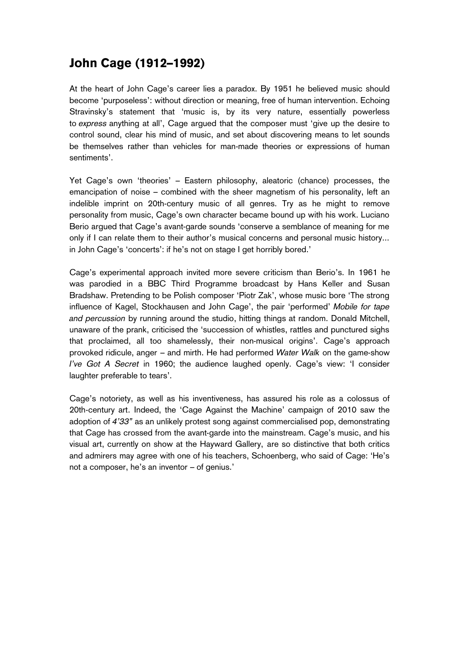### John Cage (1912–1992)

At the heart of John Cage's career lies a paradox. By 1951 he believed music should become 'purposeless': without direction or meaning, free of human intervention. Echoing Stravinsky's statement that 'music is, by its very nature, essentially powerless to *express* anything at all', Cage argued that the composer must 'give up the desire to control sound, clear his mind of music, and set about discovering means to let sounds be themselves rather than vehicles for man-made theories or expressions of human sentiments'.

Yet Cage's own 'theories' – Eastern philosophy, aleatoric (chance) processes, the emancipation of noise – combined with the sheer magnetism of his personality, left an indelible imprint on 20th-century music of all genres. Try as he might to remove personality from music, Cage's own character became bound up with his work. Luciano Berio argued that Cage's avant-garde sounds 'conserve a semblance of meaning for me only if I can relate them to their author's musical concerns and personal music history... in John Cage's 'concerts': if he's not on stage I get horribly bored.'

Cage's experimental approach invited more severe criticism than Berio's. In 1961 he was parodied in a BBC Third Programme broadcast by Hans Keller and Susan Bradshaw. Pretending to be Polish composer 'Piotr Zak', whose music bore 'The strong influence of Kagel, Stockhausen and John Cage', the pair 'performed' *Mobile for tape and percussion* by running around the studio, hitting things at random. Donald Mitchell, unaware of the prank, criticised the 'succession of whistles, rattles and punctured sighs that proclaimed, all too shamelessly, their non-musical origins'. Cage's approach provoked ridicule, anger – and mirth. He had performed *Water Walk* on the game-show *I've Got A Secret* in 1960; the audience laughed openly. Cage's view: 'I consider laughter preferable to tears'.

Cage's notoriety, as well as his inventiveness, has assured his role as a colossus of 20th-century art. Indeed, the 'Cage Against the Machine' campaign of 2010 saw the adoption of *4'33"* as an unlikely protest song against commercialised pop, demonstrating that Cage has crossed from the avant-garde into the mainstream. Cage's music, and his visual art, currently on show at the Hayward Gallery, are so distinctive that both critics and admirers may agree with one of his teachers, Schoenberg, who said of Cage: 'He's not a composer, he's an inventor – of genius.'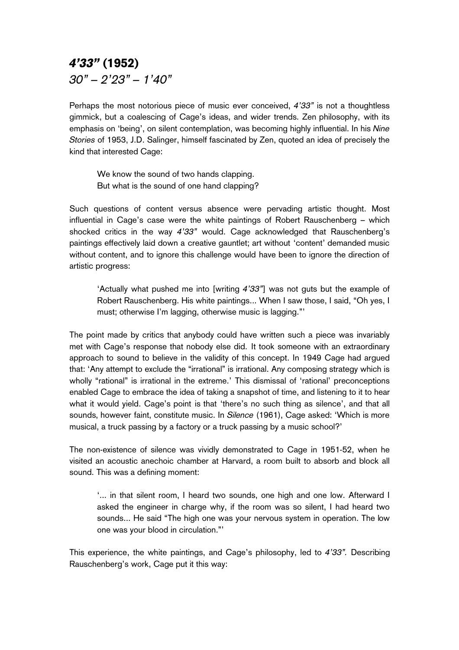## *4'33"* (1952) *30" – 2'23" – 1'40"*

Perhaps the most notorious piece of music ever conceived, *4'33"* is not a thoughtless gimmick, but a coalescing of Cage's ideas, and wider trends. Zen philosophy, with its emphasis on 'being', on silent contemplation, was becoming highly influential. In his *Nine Stories* of 1953, J.D. Salinger, himself fascinated by Zen, quoted an idea of precisely the kind that interested Cage:

We know the sound of two hands clapping. But what is the sound of one hand clapping?

Such questions of content versus absence were pervading artistic thought. Most influential in Cage's case were the white paintings of Robert Rauschenberg – which shocked critics in the way *4'33"* would. Cage acknowledged that Rauschenberg's paintings effectively laid down a creative gauntlet; art without 'content' demanded music without content, and to ignore this challenge would have been to ignore the direction of artistic progress:

'Actually what pushed me into [writing *4'33"*] was not guts but the example of Robert Rauschenberg. His white paintings... When I saw those, I said, "Oh yes, I must; otherwise I'm lagging, otherwise music is lagging."'

The point made by critics that anybody could have written such a piece was invariably met with Cage's response that nobody else did. It took someone with an extraordinary approach to sound to believe in the validity of this concept. In 1949 Cage had argued that: 'Any attempt to exclude the "irrational" is irrational. Any composing strategy which is wholly "rational" is irrational in the extreme.' This dismissal of 'rational' preconceptions enabled Cage to embrace the idea of taking a snapshot of time, and listening to it to hear what it would yield. Cage's point is that 'there's no such thing as silence', and that all sounds, however faint, constitute music. In *Silence* (1961), Cage asked: 'Which is more musical, a truck passing by a factory or a truck passing by a music school?'

The non-existence of silence was vividly demonstrated to Cage in 1951-52, when he visited an acoustic anechoic chamber at Harvard, a room built to absorb and block all sound. This was a defining moment:

'... in that silent room, I heard two sounds, one high and one low. Afterward I asked the engineer in charge why, if the room was so silent, I had heard two sounds... He said "The high one was your nervous system in operation. The low one was your blood in circulation."'

This experience, the white paintings, and Cage's philosophy, led to *4'33".* Describing Rauschenberg's work, Cage put it this way: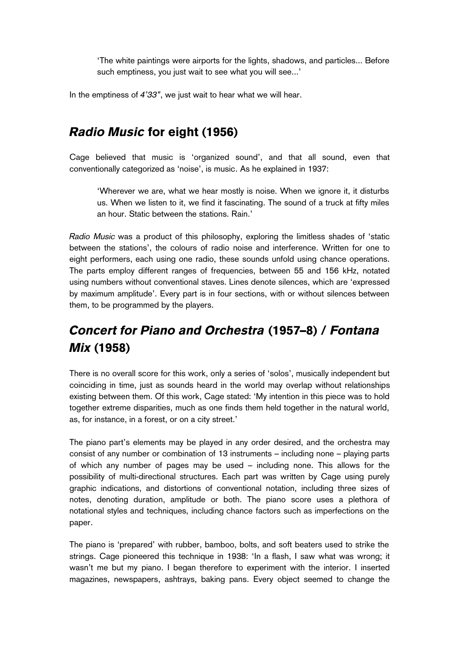'The white paintings were airports for the lights, shadows, and particles... Before such emptiness, you just wait to see what you will see...'

In the emptiness of *4'33"*, we just wait to hear what we will hear.

## *Radio Music* for eight (1956)

Cage believed that music is 'organized sound', and that all sound, even that conventionally categorized as 'noise', is music. As he explained in 1937:

'Wherever we are, what we hear mostly is noise. When we ignore it, it disturbs us. When we listen to it, we find it fascinating. The sound of a truck at fifty miles an hour. Static between the stations. Rain.'

*Radio Music* was a product of this philosophy, exploring the limitless shades of 'static between the stations', the colours of radio noise and interference. Written for one to eight performers, each using one radio, these sounds unfold using chance operations. The parts employ different ranges of frequencies, between 55 and 156 kHz, notated using numbers without conventional staves. Lines denote silences, which are 'expressed by maximum amplitude'. Every part is in four sections, with or without silences between them, to be programmed by the players.

# *Concert for Piano and Orchestra* (1957–8) / *Fontana Mix* (1958)

There is no overall score for this work, only a series of 'solos', musically independent but coinciding in time, just as sounds heard in the world may overlap without relationships existing between them. Of this work, Cage stated: 'My intention in this piece was to hold together extreme disparities, much as one finds them held together in the natural world, as, for instance, in a forest, or on a city street.'

The piano part's elements may be played in any order desired, and the orchestra may consist of any number or combination of 13 instruments – including none – playing parts of which any number of pages may be used – including none. This allows for the possibility of multi-directional structures. Each part was written by Cage using purely graphic indications, and distortions of conventional notation, including three sizes of notes, denoting duration, amplitude or both. The piano score uses a plethora of notational styles and techniques, including chance factors such as imperfections on the paper.

The piano is 'prepared' with rubber, bamboo, bolts, and soft beaters used to strike the strings. Cage pioneered this technique in 1938: 'In a flash, I saw what was wrong; it wasn't me but my piano. I began therefore to experiment with the interior. I inserted magazines, newspapers, ashtrays, baking pans. Every object seemed to change the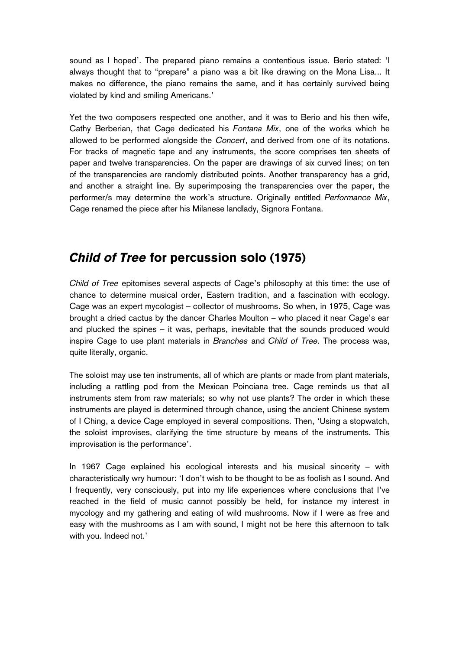sound as I hoped'. The prepared piano remains a contentious issue. Berio stated: 'I always thought that to "prepare" a piano was a bit like drawing on the Mona Lisa... It makes no difference, the piano remains the same, and it has certainly survived being violated by kind and smiling Americans.'

Yet the two composers respected one another, and it was to Berio and his then wife, Cathy Berberian, that Cage dedicated his *Fontana Mix*, one of the works which he allowed to be performed alongside the *Concert*, and derived from one of its notations. For tracks of magnetic tape and any instruments, the score comprises ten sheets of paper and twelve transparencies. On the paper are drawings of six curved lines; on ten of the transparencies are randomly distributed points. Another transparency has a grid, and another a straight line. By superimposing the transparencies over the paper, the performer/s may determine the work's structure. Originally entitled *Performance Mix*, Cage renamed the piece after his Milanese landlady, Signora Fontana.

#### *Child of Tree* for percussion solo (1975)

*Child of Tree* epitomises several aspects of Cage's philosophy at this time: the use of chance to determine musical order, Eastern tradition, and a fascination with ecology. Cage was an expert mycologist – collector of mushrooms. So when, in 1975, Cage was brought a dried cactus by the dancer Charles Moulton – who placed it near Cage's ear and plucked the spines – it was, perhaps, inevitable that the sounds produced would inspire Cage to use plant materials in *Branches* and *Child of Tree*. The process was, quite literally, organic.

The soloist may use ten instruments, all of which are plants or made from plant materials, including a rattling pod from the Mexican Poinciana tree. Cage reminds us that all instruments stem from raw materials; so why not use plants? The order in which these instruments are played is determined through chance, using the ancient Chinese system of I Ching, a device Cage employed in several compositions. Then, 'Using a stopwatch, the soloist improvises, clarifying the time structure by means of the instruments. This improvisation is the performance'.

In 1967 Cage explained his ecological interests and his musical sincerity – with characteristically wry humour: 'I don't wish to be thought to be as foolish as I sound. And I frequently, very consciously, put into my life experiences where conclusions that I've reached in the field of music cannot possibly be held, for instance my interest in mycology and my gathering and eating of wild mushrooms. Now if I were as free and easy with the mushrooms as I am with sound, I might not be here this afternoon to talk with you. Indeed not.'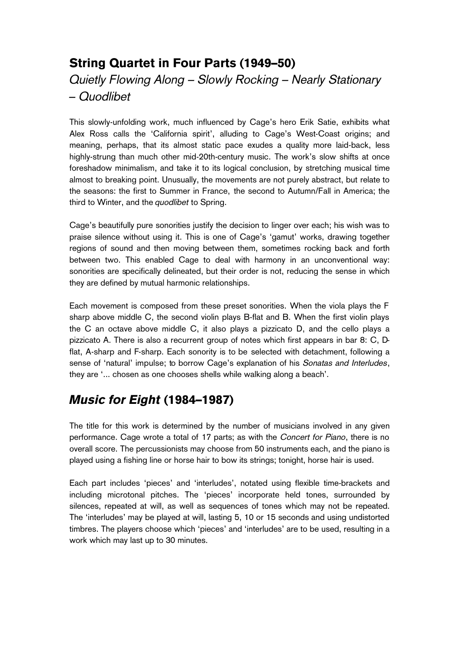## String Quartet in Four Parts (1949–50) *Quietly Flowing Along – Slowly Rocking – Nearly Stationary – Quodlibet*

This slowly-unfolding work, much influenced by Cage's hero Erik Satie, exhibits what Alex Ross calls the 'California spirit', alluding to Cage's West-Coast origins; and meaning, perhaps, that its almost static pace exudes a quality more laid-back, less highly-strung than much other mid-20th-century music. The work's slow shifts at once foreshadow minimalism, and take it to its logical conclusion, by stretching musical time almost to breaking point. Unusually, the movements are not purely abstract, but relate to the seasons: the first to Summer in France, the second to Autumn/Fall in America; the third to Winter, and the *quodlibet* to Spring.

Cage's beautifully pure sonorities justify the decision to linger over each; his wish was to praise silence without using it. This is one of Cage's 'gamut' works, drawing together regions of sound and then moving between them, sometimes rocking back and forth between two. This enabled Cage to deal with harmony in an unconventional way: sonorities are specifically delineated, but their order is not, reducing the sense in which they are defined by mutual harmonic relationships.

Each movement is composed from these preset sonorities. When the viola plays the F sharp above middle C, the second violin plays B-flat and B. When the first violin plays the C an octave above middle C, it also plays a pizzicato D, and the cello plays a pizzicato A. There is also a recurrent group of notes which first appears in bar 8: C, Dflat, A-sharp and F-sharp. Each sonority is to be selected with detachment, following a sense of 'natural' impulse; to borrow Cage's explanation of his *Sonatas and Interludes*, they are '... chosen as one chooses shells while walking along a beach'.

## *Music for Eight* (1984–1987)

The title for this work is determined by the number of musicians involved in any given performance. Cage wrote a total of 17 parts; as with the *Concert for Piano*, there is no overall score. The percussionists may choose from 50 instruments each, and the piano is played using a fishing line or horse hair to bow its strings; tonight, horse hair is used.

Each part includes 'pieces' and 'interludes', notated using flexible time-brackets and including microtonal pitches. The 'pieces' incorporate held tones, surrounded by silences, repeated at will, as well as sequences of tones which may not be repeated. The 'interludes' may be played at will, lasting 5, 10 or 15 seconds and using undistorted timbres. The players choose which 'pieces' and 'interludes' are to be used, resulting in a work which may last up to 30 minutes.